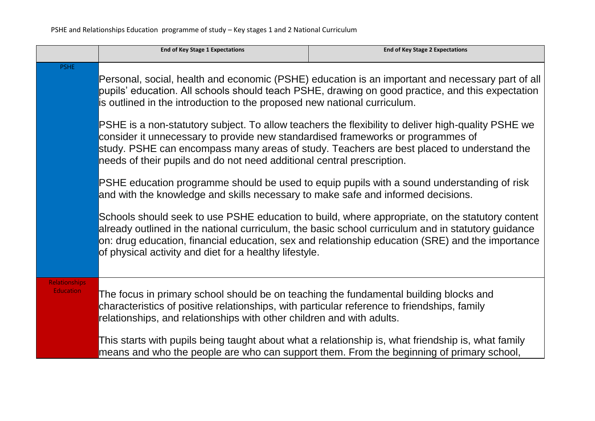|                                          | <b>End of Key Stage 1 Expectations</b>                                                                                                                                                                                                                                                                                                                       | <b>End of Key Stage 2 Expectations</b>                                                                                                                                                                                                                                                                    |
|------------------------------------------|--------------------------------------------------------------------------------------------------------------------------------------------------------------------------------------------------------------------------------------------------------------------------------------------------------------------------------------------------------------|-----------------------------------------------------------------------------------------------------------------------------------------------------------------------------------------------------------------------------------------------------------------------------------------------------------|
| <b>PSHE</b>                              | Personal, social, health and economic (PSHE) education is an important and necessary part of all<br>pupils' education. All schools should teach PSHE, drawing on good practice, and this expectation<br>is outlined in the introduction to the proposed new national curriculum.                                                                             |                                                                                                                                                                                                                                                                                                           |
|                                          | PSHE is a non-statutory subject. To allow teachers the flexibility to deliver high-quality PSHE we<br>consider it unnecessary to provide new standardised frameworks or programmes of<br>study. PSHE can encompass many areas of study. Teachers are best placed to understand the<br>needs of their pupils and do not need additional central prescription. |                                                                                                                                                                                                                                                                                                           |
|                                          | and with the knowledge and skills necessary to make safe and informed decisions.                                                                                                                                                                                                                                                                             | PSHE education programme should be used to equip pupils with a sound understanding of risk                                                                                                                                                                                                                |
|                                          | of physical activity and diet for a healthy lifestyle.                                                                                                                                                                                                                                                                                                       | Schools should seek to use PSHE education to build, where appropriate, on the statutory content<br>already outlined in the national curriculum, the basic school curriculum and in statutory guidance<br>on: drug education, financial education, sex and relationship education (SRE) and the importance |
| <b>Relationships</b><br><b>Education</b> | The focus in primary school should be on teaching the fundamental building blocks and<br>characteristics of positive relationships, with particular reference to friendships, family<br>relationships, and relationships with other children and with adults.                                                                                                |                                                                                                                                                                                                                                                                                                           |
|                                          |                                                                                                                                                                                                                                                                                                                                                              | This starts with pupils being taught about what a relationship is, what friendship is, what family<br>means and who the people are who can support them. From the beginning of primary school,                                                                                                            |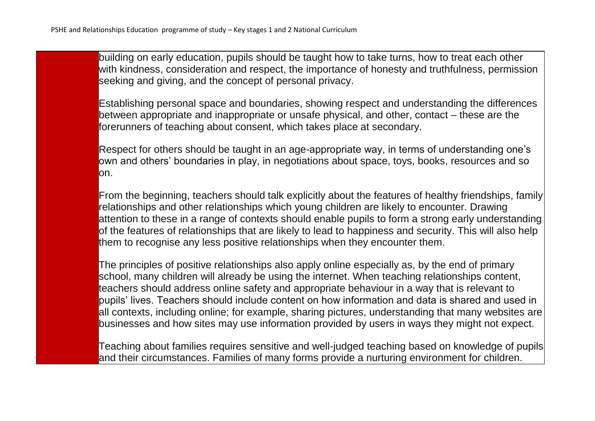building on early education, pupils should be taught how to take turns, how to treat each other with kindness, consideration and respect, the importance of honesty and truthfulness, permission seeking and giving, and the concept of personal privacy.

Establishing personal space and boundaries, showing respect and understanding the differences between appropriate and inappropriate or unsafe physical, and other, contact – these are the forerunners of teaching about consent, which takes place at secondary.

Respect for others should be taught in an age-appropriate way, in terms of understanding one's own and others' boundaries in play, in negotiations about space, toys, books, resources and so lon.

From the beginning, teachers should talk explicitly about the features of healthy friendships, family relationships and other relationships which young children are likely to encounter. Drawing attention to these in a range of contexts should enable pupils to form a strong early understanding of the features of relationships that are likely to lead to happiness and security. This will also help them to recognise any less positive relationships when they encounter them.

The principles of positive relationships also apply online especially as, by the end of primary school, many children will already be using the internet. When teaching relationships content, teachers should address online safety and appropriate behaviour in a way that is relevant to pupils' lives. Teachers should include content on how information and data is shared and used in all contexts, including online; for example, sharing pictures, understanding that many websites are businesses and how sites may use information provided by users in ways they might not expect.

Teaching about families requires sensitive and well-judged teaching based on knowledge of pupils and their circumstances. Families of many forms provide a nurturing environment for children.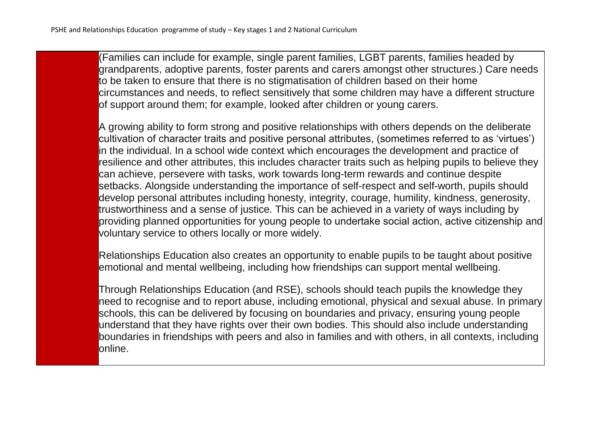(Families can include for example, single parent families, LGBT parents, families headed by grandparents, adoptive parents, foster parents and carers amongst other structures.) Care needs to be taken to ensure that there is no stigmatisation of children based on their home circumstances and needs, to reflect sensitively that some children may have a different structure of support around them; for example, looked after children or young carers.

A growing ability to form strong and positive relationships with others depends on the deliberate cultivation of character traits and positive personal attributes, (sometimes referred to as 'virtues') in the individual. In a school wide context which encourages the development and practice of resilience and other attributes, this includes character traits such as helping pupils to believe they can achieve, persevere with tasks, work towards long-term rewards and continue despite setbacks. Alongside understanding the importance of self-respect and self-worth, pupils should develop personal attributes including honesty, integrity, courage, humility, kindness, generosity, trustworthiness and a sense of justice. This can be achieved in a variety of ways including by providing planned opportunities for young people to undertake social action, active citizenship and voluntary service to others locally or more widely.

Relationships Education also creates an opportunity to enable pupils to be taught about positive emotional and mental wellbeing, including how friendships can support mental wellbeing.

Through Relationships Education (and RSE), schools should teach pupils the knowledge they need to recognise and to report abuse, including emotional, physical and sexual abuse. In primary schools, this can be delivered by focusing on boundaries and privacy, ensuring young people understand that they have rights over their own bodies. This should also include understanding boundaries in friendships with peers and also in families and with others, in all contexts, including online.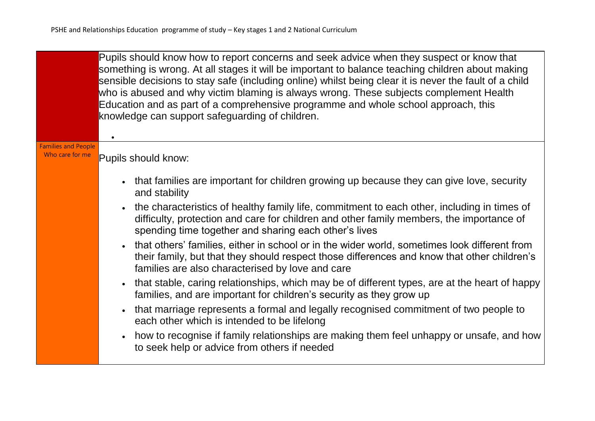|                                               | Pupils should know how to report concerns and seek advice when they suspect or know that<br>something is wrong. At all stages it will be important to balance teaching children about making<br>sensible decisions to stay safe (including online) whilst being clear it is never the fault of a child<br>who is abused and why victim blaming is always wrong. These subjects complement Health<br>Education and as part of a comprehensive programme and whole school approach, this<br>knowledge can support safeguarding of children. |
|-----------------------------------------------|-------------------------------------------------------------------------------------------------------------------------------------------------------------------------------------------------------------------------------------------------------------------------------------------------------------------------------------------------------------------------------------------------------------------------------------------------------------------------------------------------------------------------------------------|
| <b>Families and People</b><br>Who care for me | Pupils should know:                                                                                                                                                                                                                                                                                                                                                                                                                                                                                                                       |
|                                               | • that families are important for children growing up because they can give love, security<br>and stability                                                                                                                                                                                                                                                                                                                                                                                                                               |
|                                               | • the characteristics of healthy family life, commitment to each other, including in times of<br>difficulty, protection and care for children and other family members, the importance of<br>spending time together and sharing each other's lives                                                                                                                                                                                                                                                                                        |
|                                               | • that others' families, either in school or in the wider world, sometimes look different from<br>their family, but that they should respect those differences and know that other children's<br>families are also characterised by love and care                                                                                                                                                                                                                                                                                         |
|                                               | • that stable, caring relationships, which may be of different types, are at the heart of happy<br>families, and are important for children's security as they grow up                                                                                                                                                                                                                                                                                                                                                                    |
|                                               | • that marriage represents a formal and legally recognised commitment of two people to<br>each other which is intended to be lifelong                                                                                                                                                                                                                                                                                                                                                                                                     |
|                                               | • how to recognise if family relationships are making them feel unhappy or unsafe, and how<br>to seek help or advice from others if needed                                                                                                                                                                                                                                                                                                                                                                                                |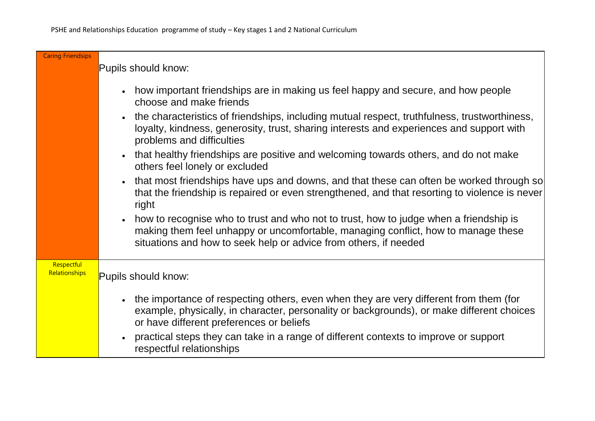| <b>Caring Friendsips</b>    | Pupils should know:                                                                                                                                                                                                                                         |
|-----------------------------|-------------------------------------------------------------------------------------------------------------------------------------------------------------------------------------------------------------------------------------------------------------|
|                             | how important friendships are in making us feel happy and secure, and how people<br>$\bullet$                                                                                                                                                               |
|                             | choose and make friends                                                                                                                                                                                                                                     |
|                             | the characteristics of friendships, including mutual respect, truthfulness, trustworthiness,<br>$\bullet$<br>loyalty, kindness, generosity, trust, sharing interests and experiences and support with<br>problems and difficulties                          |
|                             | that healthy friendships are positive and welcoming towards others, and do not make<br>$\bullet$<br>others feel lonely or excluded                                                                                                                          |
|                             | that most friendships have ups and downs, and that these can often be worked through so<br>$\bullet$<br>that the friendship is repaired or even strengthened, and that resorting to violence is never<br>right                                              |
|                             | how to recognise who to trust and who not to trust, how to judge when a friendship is<br>$\bullet$<br>making them feel unhappy or uncomfortable, managing conflict, how to manage these<br>situations and how to seek help or advice from others, if needed |
| Respectful<br>Relationships | Pupils should know:                                                                                                                                                                                                                                         |
|                             | the importance of respecting others, even when they are very different from them (for<br>$\bullet$<br>example, physically, in character, personality or backgrounds), or make different choices<br>or have different preferences or beliefs                 |
|                             | practical steps they can take in a range of different contexts to improve or support<br>$\bullet$<br>respectful relationships                                                                                                                               |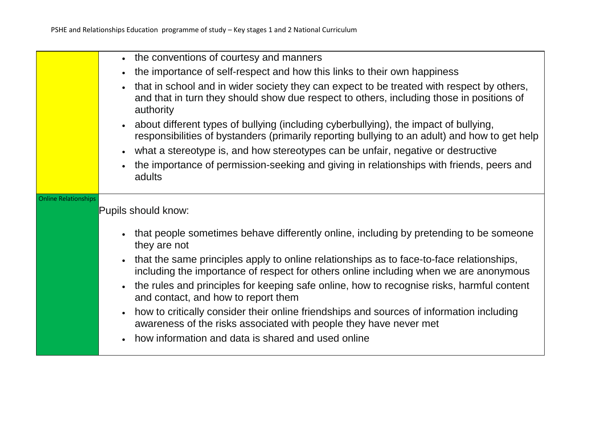|                             | • the conventions of courtesy and manners                                                                                                                                                          |  |
|-----------------------------|----------------------------------------------------------------------------------------------------------------------------------------------------------------------------------------------------|--|
|                             | the importance of self-respect and how this links to their own happiness                                                                                                                           |  |
|                             | that in school and in wider society they can expect to be treated with respect by others,<br>and that in turn they should show due respect to others, including those in positions of<br>authority |  |
|                             | about different types of bullying (including cyberbullying), the impact of bullying,<br>responsibilities of bystanders (primarily reporting bullying to an adult) and how to get help              |  |
|                             | what a stereotype is, and how stereotypes can be unfair, negative or destructive                                                                                                                   |  |
|                             | the importance of permission-seeking and giving in relationships with friends, peers and<br>adults                                                                                                 |  |
| <b>Online Relationships</b> |                                                                                                                                                                                                    |  |
|                             | Pupils should know:                                                                                                                                                                                |  |
|                             | that people sometimes behave differently online, including by pretending to be someone<br>they are not                                                                                             |  |
|                             | that the same principles apply to online relationships as to face-to-face relationships,<br>including the importance of respect for others online including when we are anonymous                  |  |
|                             | the rules and principles for keeping safe online, how to recognise risks, harmful content<br>and contact, and how to report them                                                                   |  |
|                             | how to critically consider their online friendships and sources of information including<br>awareness of the risks associated with people they have never met                                      |  |
|                             | how information and data is shared and used online                                                                                                                                                 |  |